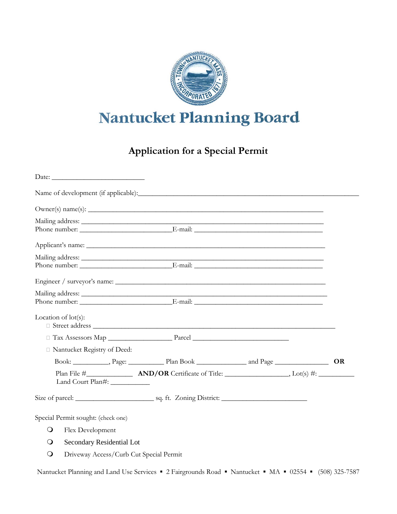

## Nantucket Planning Board

## **Application for a Special Permit**

|                                                       | Owner(s) name(s):           |  |  |  |  |
|-------------------------------------------------------|-----------------------------|--|--|--|--|
|                                                       |                             |  |  |  |  |
|                                                       |                             |  |  |  |  |
|                                                       |                             |  |  |  |  |
|                                                       | Engineer / surveyor's name: |  |  |  |  |
|                                                       |                             |  |  |  |  |
| Location of $lot(s)$ :                                |                             |  |  |  |  |
|                                                       |                             |  |  |  |  |
| □ Nantucket Registry of Deed:                         |                             |  |  |  |  |
|                                                       |                             |  |  |  |  |
| Land Court Plan#:                                     |                             |  |  |  |  |
|                                                       |                             |  |  |  |  |
| Special Permit sought: (check one)                    |                             |  |  |  |  |
| $\bigcirc$<br>Flex Development                        |                             |  |  |  |  |
| Secondary Residential Lot<br>$\circ$                  |                             |  |  |  |  |
| $\bigcirc$<br>Driveway Access/Curb Cut Special Permit |                             |  |  |  |  |

Nantucket Planning and Land Use Services · 2 Fairgrounds Road · Nantucket · MA · 02554 · (508) 325-7587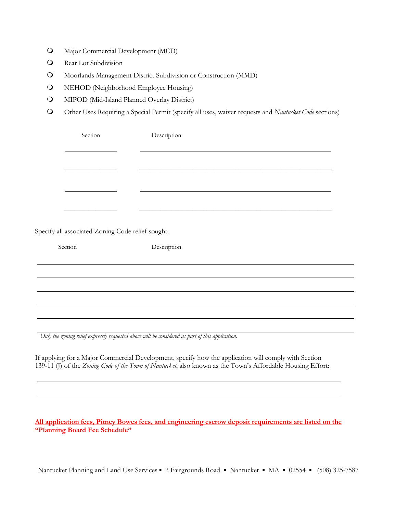- Major Commercial Development (MCD)
- **Q** Rear Lot Subdivision
- Moorlands Management District Subdivision or Construction (MMD)
- **Q** NEHOD (Neighborhood Employee Housing)
- MIPOD (Mid-Island Planned Overlay District)
- Other Uses Requiring a Special Permit (specify all uses, waiver requests and *Nantucket Code* sections)

| Section                                           | Description |  |
|---------------------------------------------------|-------------|--|
|                                                   |             |  |
|                                                   |             |  |
|                                                   |             |  |
|                                                   |             |  |
|                                                   |             |  |
|                                                   |             |  |
| Specify all associated Zoning Code relief sought: |             |  |
| Section                                           | Description |  |
|                                                   |             |  |
|                                                   |             |  |
|                                                   |             |  |
|                                                   |             |  |
|                                                   |             |  |

*Only the zoning relief expressly requested above will be considered as part of this application.*

If applying for a Major Commercial Development, specify how the application will comply with Section 139-11 (J) of the *Zoning Code of the Town of Nantucket*, also known as the Town's Affordable Housing Effort:

**All application fees, Pitney Bowes fees, and engineering escrow deposit requirements are listed on the "Planning Board Fee Schedule"**

Nantucket Planning and Land Use Services ▪ 2 Fairgrounds Road ▪ Nantucket ▪ MA ▪ 02554 ▪ (508) 325-7587